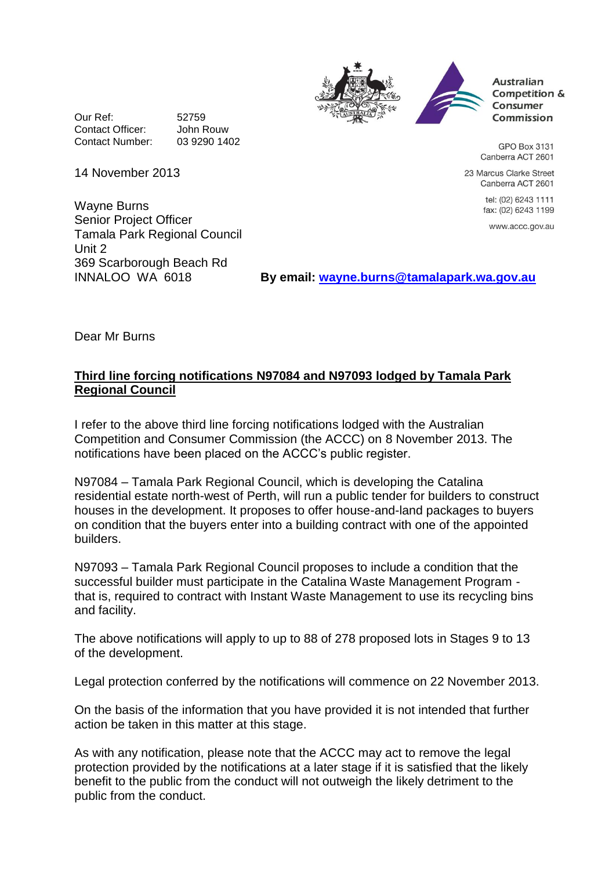



**Australian** Competition & Consumer Commission

GPO Box 3131 Canberra ACT 2601

23 Marcus Clarke Street Canberra ACT 2601

> tel: (02) 6243 1111 fax: (02) 6243 1199

www.accc.gov.au

Our Ref: 52759 Contact Officer: John Rouw Contact Number: 03 9290 1402

14 November 2013

Wayne Burns Senior Project Officer Tamala Park Regional Council Unit 2 369 Scarborough Beach Rd

By email: [wayne.burns@tamalapark.wa.gov.au](mailto:wayne.burns@tamalapark.wa.gov.au)

Dear Mr Burns

## **Third line forcing notifications N97084 and N97093 lodged by Tamala Park Regional Council**

I refer to the above third line forcing notifications lodged with the Australian Competition and Consumer Commission (the ACCC) on 8 November 2013. The notifications have been placed on the ACCC's public register.

N97084 – Tamala Park Regional Council, which is developing the Catalina residential estate north-west of Perth, will run a public tender for builders to construct houses in the development. It proposes to offer house-and-land packages to buyers on condition that the buyers enter into a building contract with one of the appointed builders.

N97093 – Tamala Park Regional Council proposes to include a condition that the successful builder must participate in the Catalina Waste Management Program that is, required to contract with Instant Waste Management to use its recycling bins and facility.

The above notifications will apply to up to 88 of 278 proposed lots in Stages 9 to 13 of the development.

Legal protection conferred by the notifications will commence on 22 November 2013.

On the basis of the information that you have provided it is not intended that further action be taken in this matter at this stage.

As with any notification, please note that the ACCC may act to remove the legal protection provided by the notifications at a later stage if it is satisfied that the likely benefit to the public from the conduct will not outweigh the likely detriment to the public from the conduct.